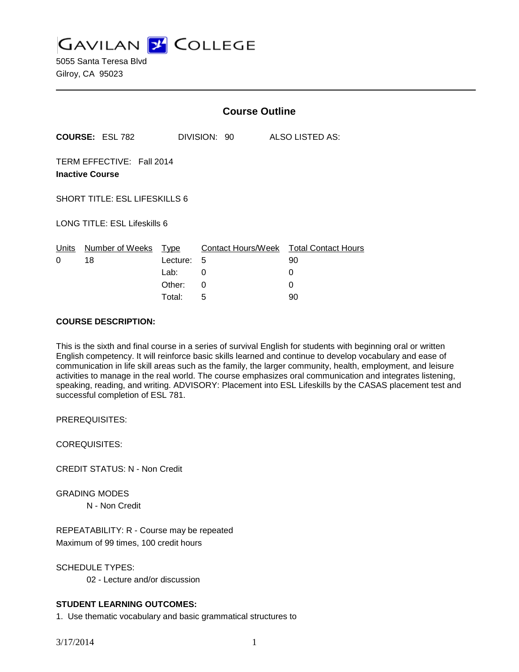**GAVILAN Z COLLEGE** 

5055 Santa Teresa Blvd Gilroy, CA 95023

|                              |                                                     | <b>Course Outline</b>              |                                                       |                 |  |
|------------------------------|-----------------------------------------------------|------------------------------------|-------------------------------------------------------|-----------------|--|
|                              | <b>COURSE: ESL 782</b>                              |                                    | DIVISION: 90                                          | ALSO LISTED AS: |  |
|                              | TERM EFFECTIVE: Fall 2014<br><b>Inactive Course</b> |                                    |                                                       |                 |  |
|                              | <b>SHORT TITLE: ESL LIFESKILLS 6</b>                |                                    |                                                       |                 |  |
| LONG TITLE: ESL Lifeskills 6 |                                                     |                                    |                                                       |                 |  |
| Units<br>0                   | Number of Weeks<br>18                               | Type<br>Lecture:<br>Lab:<br>Other: | Contact Hours/Week Total Contact Hours<br>5<br>0<br>0 | 90<br>0<br>0    |  |
|                              |                                                     | Total:                             | 5                                                     | 90              |  |

#### **COURSE DESCRIPTION:**

This is the sixth and final course in a series of survival English for students with beginning oral or written English competency. It will reinforce basic skills learned and continue to develop vocabulary and ease of communication in life skill areas such as the family, the larger community, health, employment, and leisure activities to manage in the real world. The course emphasizes oral communication and integrates listening, speaking, reading, and writing. ADVISORY: Placement into ESL Lifeskills by the CASAS placement test and successful completion of ESL 781.

PREREQUISITES:

COREQUISITES:

CREDIT STATUS: N - Non Credit

GRADING MODES

N - Non Credit

REPEATABILITY: R - Course may be repeated Maximum of 99 times, 100 credit hours

SCHEDULE TYPES:

02 - Lecture and/or discussion

# **STUDENT LEARNING OUTCOMES:**

1. Use thematic vocabulary and basic grammatical structures to

3/17/2014 1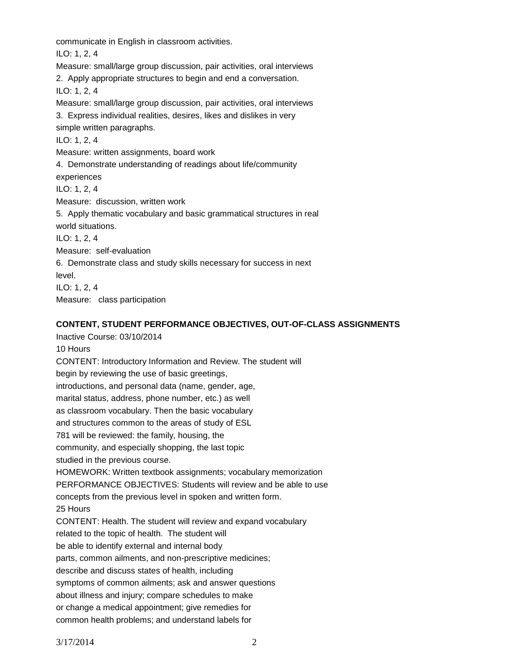communicate in English in classroom activities.

ILO: 1, 2, 4

Measure: small/large group discussion, pair activities, oral interviews

2. Apply appropriate structures to begin and end a conversation.

ILO: 1, 2, 4

Measure: small/large group discussion, pair activities, oral interviews

3. Express individual realities, desires, likes and dislikes in very simple written paragraphs.

ILO: 1, 2, 4

Measure: written assignments, board work

4. Demonstrate understanding of readings about life/community

experiences

ILO: 1, 2, 4

Measure: discussion, written work

5. Apply thematic vocabulary and basic grammatical structures in real world situations.

ILO: 1, 2, 4

Measure: self-evaluation

6. Demonstrate class and study skills necessary for success in next level.

ILO: 1, 2, 4 Measure: class participation

# **CONTENT, STUDENT PERFORMANCE OBJECTIVES, OUT-OF-CLASS ASSIGNMENTS**

Inactive Course: 03/10/2014 10 Hours CONTENT: Introductory Information and Review. The student will begin by reviewing the use of basic greetings, introductions, and personal data (name, gender, age, marital status, address, phone number, etc.) as well as classroom vocabulary. Then the basic vocabulary and structures common to the areas of study of ESL 781 will be reviewed: the family, housing, the community, and especially shopping, the last topic studied in the previous course. HOMEWORK: Written textbook assignments; vocabulary memorization PERFORMANCE OBJECTIVES: Students will review and be able to use concepts from the previous level in spoken and written form. 25 Hours CONTENT: Health. The student will review and expand vocabulary related to the topic of health. The student will be able to identify external and internal body parts, common ailments, and non-prescriptive medicines; describe and discuss states of health, including symptoms of common ailments; ask and answer questions about illness and injury; compare schedules to make or change a medical appointment; give remedies for common health problems; and understand labels for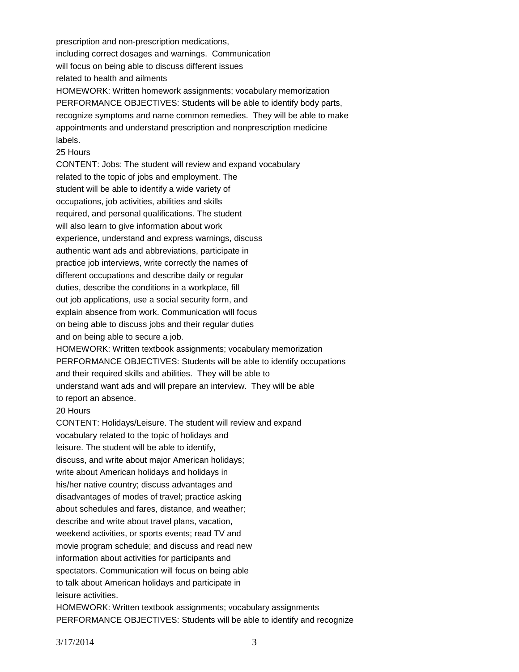prescription and non-prescription medications, including correct dosages and warnings. Communication will focus on being able to discuss different issues related to health and ailments HOMEWORK: Written homework assignments; vocabulary memorization PERFORMANCE OBJECTIVES: Students will be able to identify body parts, recognize symptoms and name common remedies. They will be able to make appointments and understand prescription and nonprescription medicine labels.

#### 25 Hours

CONTENT: Jobs: The student will review and expand vocabulary related to the topic of jobs and employment. The student will be able to identify a wide variety of occupations, job activities, abilities and skills required, and personal qualifications. The student will also learn to give information about work experience, understand and express warnings, discuss authentic want ads and abbreviations, participate in practice job interviews, write correctly the names of different occupations and describe daily or regular duties, describe the conditions in a workplace, fill out job applications, use a social security form, and explain absence from work. Communication will focus on being able to discuss jobs and their regular duties and on being able to secure a job. HOMEWORK: Written textbook assignments; vocabulary memorization PERFORMANCE OBJECTIVES: Students will be able to identify occupations and their required skills and abilities. They will be able to understand want ads and will prepare an interview. They will be able to report an absence. 20 Hours CONTENT: Holidays/Leisure. The student will review and expand vocabulary related to the topic of holidays and leisure. The student will be able to identify, discuss, and write about major American holidays; write about American holidays and holidays in

his/her native country; discuss advantages and disadvantages of modes of travel; practice asking about schedules and fares, distance, and weather; describe and write about travel plans, vacation, weekend activities, or sports events; read TV and movie program schedule; and discuss and read new information about activities for participants and spectators. Communication will focus on being able to talk about American holidays and participate in leisure activities.

HOMEWORK: Written textbook assignments; vocabulary assignments PERFORMANCE OBJECTIVES: Students will be able to identify and recognize

3/17/2014 3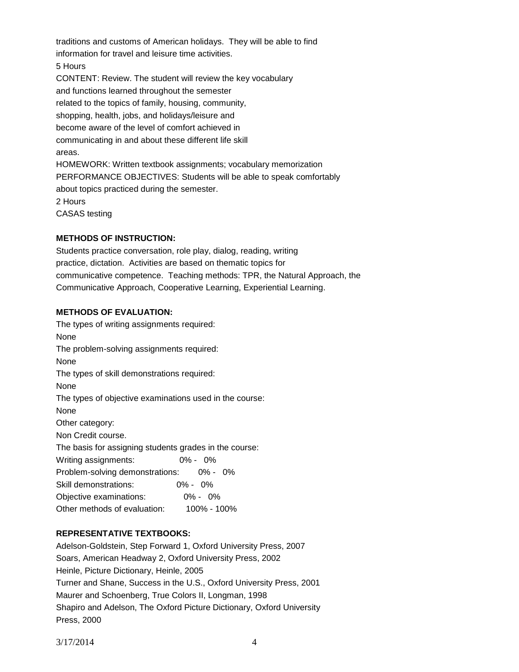traditions and customs of American holidays. They will be able to find information for travel and leisure time activities. 5 Hours CONTENT: Review. The student will review the key vocabulary and functions learned throughout the semester related to the topics of family, housing, community, shopping, health, jobs, and holidays/leisure and become aware of the level of comfort achieved in communicating in and about these different life skill areas. HOMEWORK: Written textbook assignments; vocabulary memorization PERFORMANCE OBJECTIVES: Students will be able to speak comfortably about topics practiced during the semester. 2 Hours CASAS testing

## **METHODS OF INSTRUCTION:**

Students practice conversation, role play, dialog, reading, writing practice, dictation. Activities are based on thematic topics for communicative competence. Teaching methods: TPR, the Natural Approach, the Communicative Approach, Cooperative Learning, Experiential Learning.

## **METHODS OF EVALUATION:**

The types of writing assignments required: None The problem-solving assignments required: None The types of skill demonstrations required: None The types of objective examinations used in the course: None Other category: Non Credit course. The basis for assigning students grades in the course: Writing assignments: 0% - 0% Problem-solving demonstrations: 0% - 0% Skill demonstrations: 0% - 0% Objective examinations: 0% - 0% Other methods of evaluation: 100% - 100%

## **REPRESENTATIVE TEXTBOOKS:**

Adelson-Goldstein, Step Forward 1, Oxford University Press, 2007 Soars, American Headway 2, Oxford University Press, 2002 Heinle, Picture Dictionary, Heinle, 2005 Turner and Shane, Success in the U.S., Oxford University Press, 2001 Maurer and Schoenberg, True Colors II, Longman, 1998 Shapiro and Adelson, The Oxford Picture Dictionary, Oxford University Press, 2000